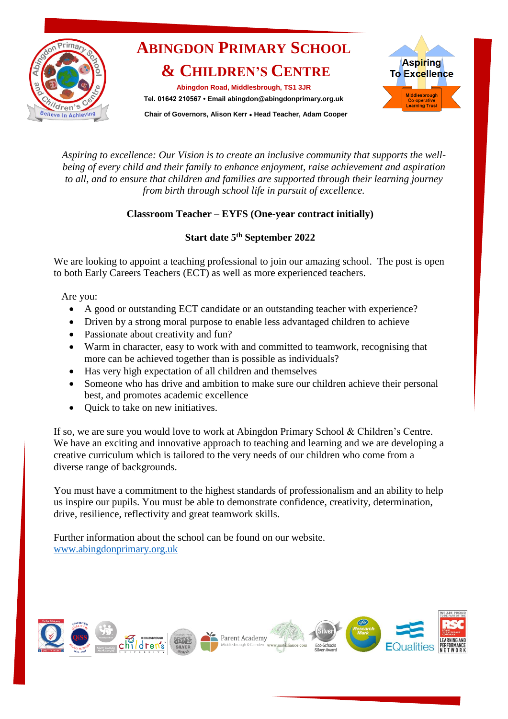

## **ABINGDON PRIMARY SCHOOL & CHILDREN'S CENTRE**

**Abingdon Road, Middlesbrough, TS1 3JR Tel. 01642 210567 • Email abingdon@abingdonprimary.org.uk**



 **Chair of Governors, Alison Kerr ● Head Teacher, Adam Cooper**

*Aspiring to excellence: Our Vision is to create an inclusive community that supports the wellbeing of every child and their family to enhance enjoyment, raise achievement and aspiration to all, and to ensure that children and families are supported through their learning journey from birth through school life in pursuit of excellence.*

### **Classroom Teacher – EYFS (One-year contract initially)**

### **Start date 5 th September 2022**

We are looking to appoint a teaching professional to join our amazing school. The post is open to both Early Careers Teachers (ECT) as well as more experienced teachers.

Are you:

- A good or outstanding ECT candidate or an outstanding teacher with experience?
- Driven by a strong moral purpose to enable less advantaged children to achieve
- Passionate about creativity and fun?
- Warm in character, easy to work with and committed to teamwork, recognising that more can be achieved together than is possible as individuals?
- Has very high expectation of all children and themselves
- Someone who has drive and ambition to make sure our children achieve their personal best, and promotes academic excellence
- Ouick to take on new initiatives.

If so, we are sure you would love to work at Abingdon Primary School & Children's Centre. We have an exciting and innovative approach to teaching and learning and we are developing a creative curriculum which is tailored to the very needs of our children who come from a diverse range of backgrounds.

You must have a commitment to the highest standards of professionalism and an ability to help us inspire our pupils. You must be able to demonstrate confidence, creativity, determination, drive, resilience, reflectivity and great teamwork skills.

Further information about the school can be found on our website. [www.abingdonprimary.org.uk](http://www.abingdonprimary.org.uk/)